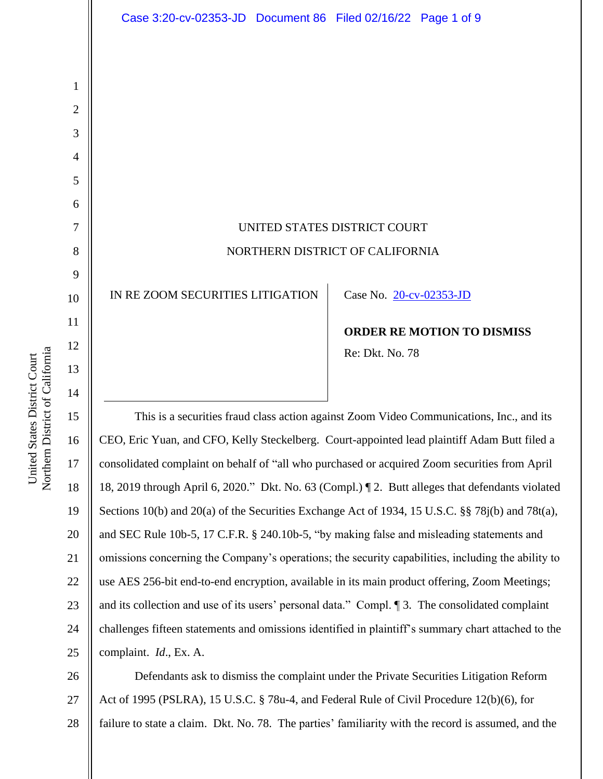

23 24 25 CEO, Eric Yuan, and CFO, Kelly Steckelberg. Court-appointed lead plaintiff Adam Butt filed a consolidated complaint on behalf of "all who purchased or acquired Zoom securities from April 18, 2019 through April 6, 2020." Dkt. No. 63 (Compl.) ¶ 2. Butt alleges that defendants violated Sections 10(b) and 20(a) of the Securities Exchange Act of 1934, 15 U.S.C. §§ 78j(b) and 78t(a), and SEC Rule 10b-5, 17 C.F.R. § 240.10b-5, "by making false and misleading statements and omissions concerning the Company's operations; the security capabilities, including the ability to use AES 256-bit end-to-end encryption, available in its main product offering, Zoom Meetings; and its collection and use of its users' personal data." Compl. ¶ 3. The consolidated complaint challenges fifteen statements and omissions identified in plaintiff's summary chart attached to the complaint. *Id*., Ex. A.

26 27 28 Defendants ask to dismiss the complaint under the Private Securities Litigation Reform Act of 1995 (PSLRA), 15 U.S.C. § 78u-4, and Federal Rule of Civil Procedure 12(b)(6), for failure to state a claim. Dkt. No. 78. The parties' familiarity with the record is assumed, and the

1

2

3

4

5

6

7

8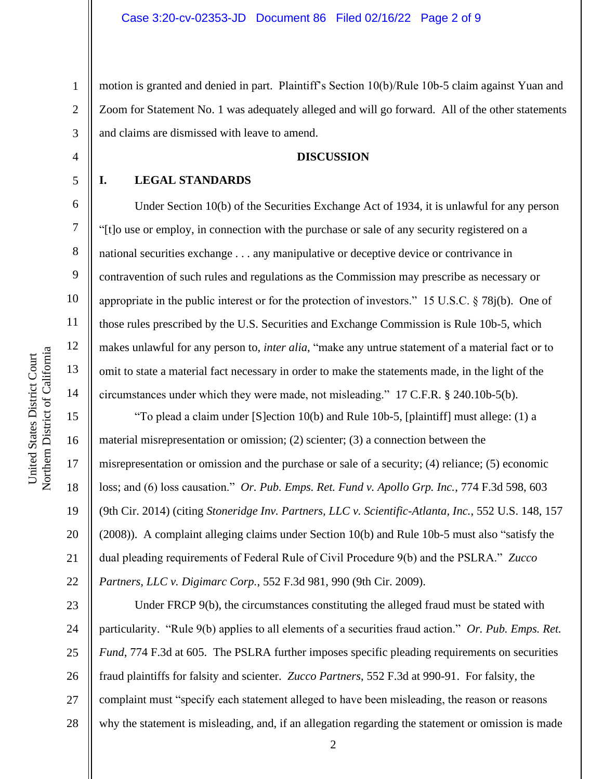1 2 3 motion is granted and denied in part. Plaintiff's Section 10(b)/Rule 10b-5 claim against Yuan and Zoom for Statement No. 1 was adequately alleged and will go forward. All of the other statements and claims are dismissed with leave to amend.

# **DISCUSSION**

#### **I. LEGAL STANDARDS**

4

5

6

7

8

9

10

11

12

13

14

15

16

17

18

19

20

21

22

Under Section 10(b) of the Securities Exchange Act of 1934, it is unlawful for any person "[t]o use or employ, in connection with the purchase or sale of any security registered on a national securities exchange . . . any manipulative or deceptive device or contrivance in contravention of such rules and regulations as the Commission may prescribe as necessary or appropriate in the public interest or for the protection of investors." 15 U.S.C. § 78j(b). One of those rules prescribed by the U.S. Securities and Exchange Commission is Rule 10b-5, which makes unlawful for any person to, *inter alia*, "make any untrue statement of a material fact or to omit to state a material fact necessary in order to make the statements made, in the light of the circumstances under which they were made, not misleading." 17 C.F.R. § 240.10b-5(b).

"To plead a claim under [S]ection 10(b) and Rule 10b-5, [plaintiff] must allege: (1) a material misrepresentation or omission; (2) scienter; (3) a connection between the misrepresentation or omission and the purchase or sale of a security; (4) reliance; (5) economic loss; and (6) loss causation." *Or. Pub. Emps. Ret. Fund v. Apollo Grp. Inc.*, 774 F.3d 598, 603 (9th Cir. 2014) (citing *Stoneridge Inv. Partners, LLC v. Scientific-Atlanta, Inc.*, 552 U.S. 148, 157 (2008)). A complaint alleging claims under Section 10(b) and Rule 10b-5 must also "satisfy the dual pleading requirements of Federal Rule of Civil Procedure 9(b) and the PSLRA." *Zucco Partners, LLC v. Digimarc Corp.*, 552 F.3d 981, 990 (9th Cir. 2009).

23 24 25 26 27 28 Under FRCP 9(b), the circumstances constituting the alleged fraud must be stated with particularity. "Rule 9(b) applies to all elements of a securities fraud action." *Or. Pub. Emps. Ret. Fund*, 774 F.3d at 605. The PSLRA further imposes specific pleading requirements on securities fraud plaintiffs for falsity and scienter. *Zucco Partners*, 552 F.3d at 990-91. For falsity, the complaint must "specify each statement alleged to have been misleading, the reason or reasons why the statement is misleading, and, if an allegation regarding the statement or omission is made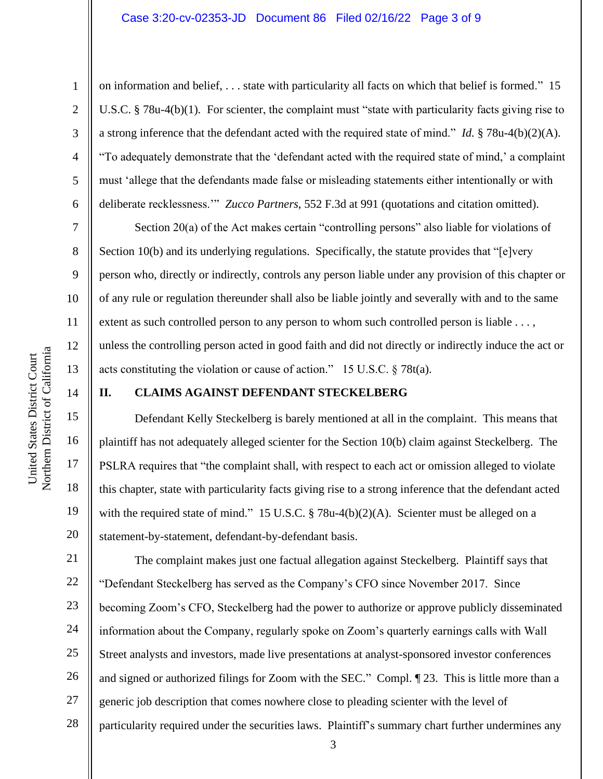### Case 3:20-cv-02353-JD Document 86 Filed 02/16/22 Page 3 of 9

1

2

3

4

5

6

7

8

9

10

11

12

13

14

15

16

17

18

19

20

on information and belief, . . . state with particularity all facts on which that belief is formed." 15 U.S.C. § 78u-4(b)(1). For scienter, the complaint must "state with particularity facts giving rise to a strong inference that the defendant acted with the required state of mind." *Id.* § 78u-4(b)(2)(A). "To adequately demonstrate that the 'defendant acted with the required state of mind,' a complaint must 'allege that the defendants made false or misleading statements either intentionally or with deliberate recklessness.'" *Zucco Partners*, 552 F.3d at 991 (quotations and citation omitted).

Section 20(a) of the Act makes certain "controlling persons" also liable for violations of Section 10(b) and its underlying regulations. Specifically, the statute provides that "[e]very person who, directly or indirectly, controls any person liable under any provision of this chapter or of any rule or regulation thereunder shall also be liable jointly and severally with and to the same extent as such controlled person to any person to whom such controlled person is liable . . . , unless the controlling person acted in good faith and did not directly or indirectly induce the act or acts constituting the violation or cause of action." 15 U.S.C. § 78t(a).

## **II. CLAIMS AGAINST DEFENDANT STECKELBERG**

Defendant Kelly Steckelberg is barely mentioned at all in the complaint. This means that plaintiff has not adequately alleged scienter for the Section 10(b) claim against Steckelberg. The PSLRA requires that "the complaint shall, with respect to each act or omission alleged to violate this chapter, state with particularity facts giving rise to a strong inference that the defendant acted with the required state of mind." 15 U.S.C.  $\S$  78u-4(b)(2)(A). Scienter must be alleged on a statement-by-statement, defendant-by-defendant basis.

21 22 23 24 25 26 27 28 The complaint makes just one factual allegation against Steckelberg. Plaintiff says that "Defendant Steckelberg has served as the Company's CFO since November 2017. Since becoming Zoom's CFO, Steckelberg had the power to authorize or approve publicly disseminated information about the Company, regularly spoke on Zoom's quarterly earnings calls with Wall Street analysts and investors, made live presentations at analyst-sponsored investor conferences and signed or authorized filings for Zoom with the SEC." Compl. ¶ 23. This is little more than a generic job description that comes nowhere close to pleading scienter with the level of particularity required under the securities laws. Plaintiff's summary chart further undermines any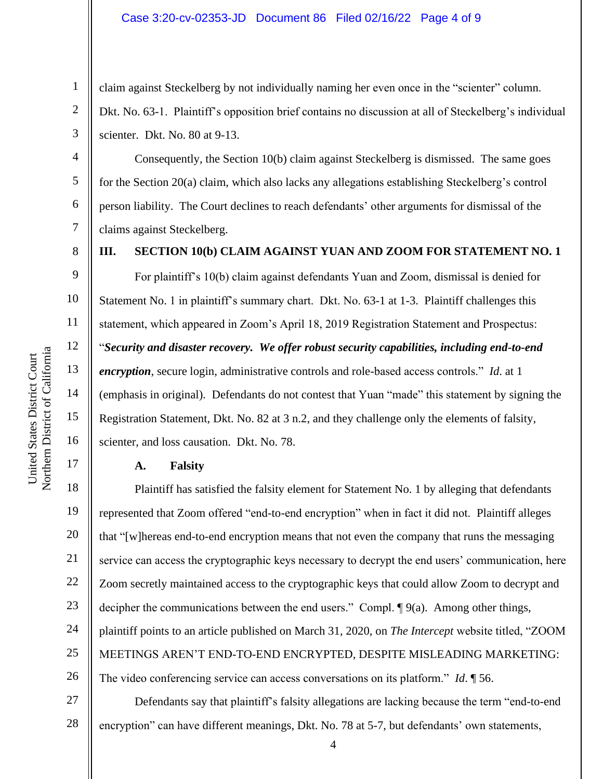## Case 3:20-cv-02353-JD Document 86 Filed 02/16/22 Page 4 of 9

claim against Steckelberg by not individually naming her even once in the "scienter" column. Dkt. No. 63-1. Plaintiff's opposition brief contains no discussion at all of Steckelberg's individual scienter. Dkt. No. 80 at 9-13.

Consequently, the Section 10(b) claim against Steckelberg is dismissed. The same goes for the Section 20(a) claim, which also lacks any allegations establishing Steckelberg's control person liability. The Court declines to reach defendants' other arguments for dismissal of the claims against Steckelberg.

1

2

3

4

5

6

7

8

9

10

11

12

13

14

15

16

17

# **III. SECTION 10(b) CLAIM AGAINST YUAN AND ZOOM FOR STATEMENT NO. 1**

For plaintiff's 10(b) claim against defendants Yuan and Zoom, dismissal is denied for Statement No. 1 in plaintiff's summary chart. Dkt. No. 63-1 at 1-3. Plaintiff challenges this statement, which appeared in Zoom's April 18, 2019 Registration Statement and Prospectus: "*Security and disaster recovery. We offer robust security capabilities, including end-to-end encryption*, secure login, administrative controls and role-based access controls." *Id*. at 1 (emphasis in original). Defendants do not contest that Yuan "made" this statement by signing the Registration Statement, Dkt. No. 82 at 3 n.2, and they challenge only the elements of falsity, scienter, and loss causation. Dkt. No. 78.

## **A. Falsity**

18 19 20 21 22 23 24 25 26 Plaintiff has satisfied the falsity element for Statement No. 1 by alleging that defendants represented that Zoom offered "end-to-end encryption" when in fact it did not. Plaintiff alleges that "[w]hereas end-to-end encryption means that not even the company that runs the messaging service can access the cryptographic keys necessary to decrypt the end users' communication, here Zoom secretly maintained access to the cryptographic keys that could allow Zoom to decrypt and decipher the communications between the end users." Compl. ¶ 9(a). Among other things, plaintiff points to an article published on March 31, 2020, on *The Intercept* website titled, "ZOOM MEETINGS AREN'T END-TO-END ENCRYPTED, DESPITE MISLEADING MARKETING: The video conferencing service can access conversations on its platform." *Id*. ¶ 56.

27 28 Defendants say that plaintiff's falsity allegations are lacking because the term "end-to-end encryption" can have different meanings, Dkt. No. 78 at 5-7, but defendants' own statements,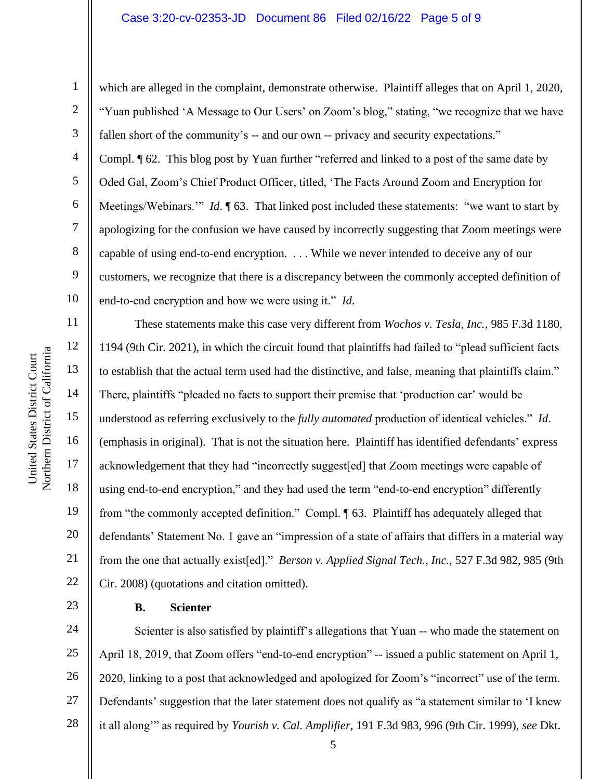### Case 3:20-cv-02353-JD Document 86 Filed 02/16/22 Page 5 of 9

Northern District of California Northern District of California United States District Court United States District Court

11

12

13

14

15

16

17

18

19

20

21

22

23

1 2 3 4 5 6 7 8 9 10 which are alleged in the complaint, demonstrate otherwise. Plaintiff alleges that on April 1, 2020, "Yuan published 'A Message to Our Users' on Zoom's blog," stating, "we recognize that we have fallen short of the community's -- and our own -- privacy and security expectations." Compl. ¶ 62. This blog post by Yuan further "referred and linked to a post of the same date by Oded Gal, Zoom's Chief Product Officer, titled, 'The Facts Around Zoom and Encryption for Meetings/Webinars." *Id*. 163. That linked post included these statements: "we want to start by apologizing for the confusion we have caused by incorrectly suggesting that Zoom meetings were capable of using end-to-end encryption. . . . While we never intended to deceive any of our customers, we recognize that there is a discrepancy between the commonly accepted definition of end-to-end encryption and how we were using it." *Id*.

These statements make this case very different from *Wochos v. Tesla, Inc.*, 985 F.3d 1180, 1194 (9th Cir. 2021), in which the circuit found that plaintiffs had failed to "plead sufficient facts to establish that the actual term used had the distinctive, and false, meaning that plaintiffs claim." There, plaintiffs "pleaded no facts to support their premise that 'production car' would be understood as referring exclusively to the *fully automated* production of identical vehicles." *Id*. (emphasis in original). That is not the situation here. Plaintiff has identified defendants' express acknowledgement that they had "incorrectly suggest[ed] that Zoom meetings were capable of using end-to-end encryption," and they had used the term "end-to-end encryption" differently from "the commonly accepted definition." Compl. ¶ 63. Plaintiff has adequately alleged that defendants' Statement No. 1 gave an "impression of a state of affairs that differs in a material way from the one that actually exist[ed]." *Berson v. Applied Signal Tech., Inc.*, 527 F.3d 982, 985 (9th Cir. 2008) (quotations and citation omitted).

#### **B. Scienter**

24 25 26 27 28 Scienter is also satisfied by plaintiff's allegations that Yuan -- who made the statement on April 18, 2019, that Zoom offers "end-to-end encryption" -- issued a public statement on April 1, 2020, linking to a post that acknowledged and apologized for Zoom's "incorrect" use of the term. Defendants' suggestion that the later statement does not qualify as "a statement similar to 'I knew it all along'" as required by *Yourish v. Cal. Amplifier*, 191 F.3d 983, 996 (9th Cir. 1999), *see* Dkt.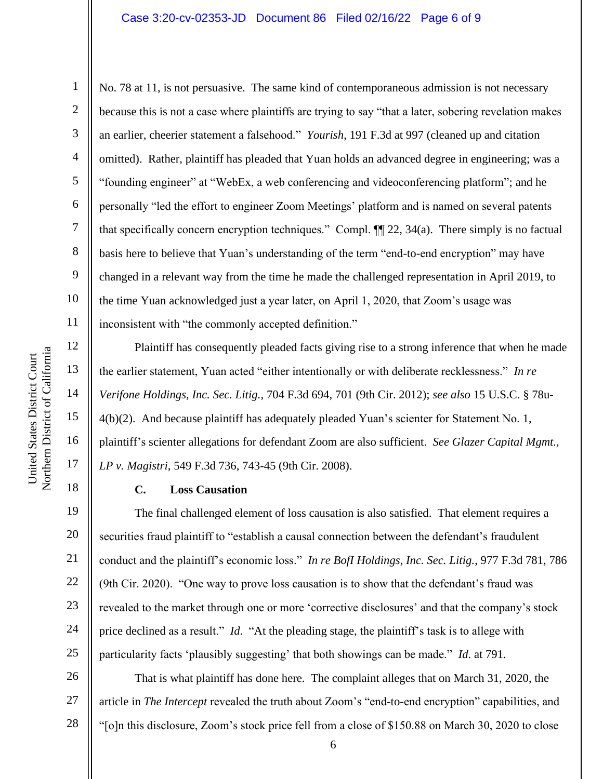## Case 3:20-cv-02353-JD Document 86 Filed 02/16/22 Page 6 of 9

12

13

14

15

16

17

18

19

20

21

22

23

24

25

1

2 3 4 5 6 7 8 9 10 11 No. 78 at 11, is not persuasive. The same kind of contemporaneous admission is not necessary because this is not a case where plaintiffs are trying to say "that a later, sobering revelation makes an earlier, cheerier statement a falsehood." *Yourish*, 191 F.3d at 997 (cleaned up and citation omitted). Rather, plaintiff has pleaded that Yuan holds an advanced degree in engineering; was a "founding engineer" at "WebEx, a web conferencing and videoconferencing platform"; and he personally "led the effort to engineer Zoom Meetings' platform and is named on several patents that specifically concern encryption techniques." Compl. ¶¶ 22, 34(a). There simply is no factual basis here to believe that Yuan's understanding of the term "end-to-end encryption" may have changed in a relevant way from the time he made the challenged representation in April 2019, to the time Yuan acknowledged just a year later, on April 1, 2020, that Zoom's usage was inconsistent with "the commonly accepted definition."

Plaintiff has consequently pleaded facts giving rise to a strong inference that when he made the earlier statement, Yuan acted "either intentionally or with deliberate recklessness." *In re Verifone Holdings, Inc. Sec. Litig.*, 704 F.3d 694, 701 (9th Cir. 2012); *see also* 15 U.S.C. § 78u-4(b)(2). And because plaintiff has adequately pleaded Yuan's scienter for Statement No. 1, plaintiff's scienter allegations for defendant Zoom are also sufficient. *See Glazer Capital Mgmt., LP v. Magistri*, 549 F.3d 736, 743-45 (9th Cir. 2008).

#### **C. Loss Causation**

The final challenged element of loss causation is also satisfied. That element requires a securities fraud plaintiff to "establish a causal connection between the defendant's fraudulent conduct and the plaintiff's economic loss." *In re BofI Holdings, Inc. Sec. Litig.*, 977 F.3d 781, 786 (9th Cir. 2020). "One way to prove loss causation is to show that the defendant's fraud was revealed to the market through one or more 'corrective disclosures' and that the company's stock price declined as a result." *Id*. "At the pleading stage, the plaintiff's task is to allege with particularity facts 'plausibly suggesting' that both showings can be made." *Id*. at 791.

26 27 28 That is what plaintiff has done here. The complaint alleges that on March 31, 2020, the article in *The Intercept* revealed the truth about Zoom's "end-to-end encryption" capabilities, and "[o]n this disclosure, Zoom's stock price fell from a close of \$150.88 on March 30, 2020 to close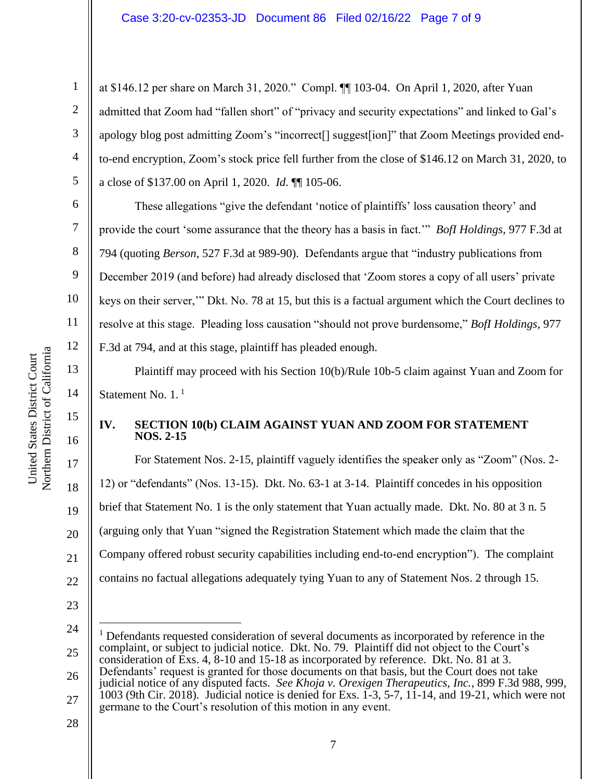# Case 3:20-cv-02353-JD Document 86 Filed 02/16/22 Page 7 of 9

at \$146.12 per share on March 31, 2020." Compl. ¶¶ 103-04. On April 1, 2020, after Yuan admitted that Zoom had "fallen short" of "privacy and security expectations" and linked to Gal's apology blog post admitting Zoom's "incorrect[] suggest[ion]" that Zoom Meetings provided endto-end encryption, Zoom's stock price fell further from the close of \$146.12 on March 31, 2020, to a close of \$137.00 on April 1, 2020. *Id*. ¶¶ 105-06.

These allegations "give the defendant 'notice of plaintiffs' loss causation theory' and provide the court 'some assurance that the theory has a basis in fact.'" *BofI Holdings*, 977 F.3d at 794 (quoting *Berson*, 527 F.3d at 989-90). Defendants argue that "industry publications from December 2019 (and before) had already disclosed that 'Zoom stores a copy of all users' private keys on their server,'" Dkt. No. 78 at 15, but this is a factual argument which the Court declines to resolve at this stage. Pleading loss causation "should not prove burdensome," *BofI Holdings*, 977 F.3d at 794, and at this stage, plaintiff has pleaded enough.

Plaintiff may proceed with his Section 10(b)/Rule 10b-5 claim against Yuan and Zoom for Statement No. 1.<sup>1</sup>

# **IV. SECTION 10(b) CLAIM AGAINST YUAN AND ZOOM FOR STATEMENT NOS. 2-15**

For Statement Nos. 2-15, plaintiff vaguely identifies the speaker only as "Zoom" (Nos. 2- 12) or "defendants" (Nos. 13-15). Dkt. No. 63-1 at 3-14. Plaintiff concedes in his opposition brief that Statement No. 1 is the only statement that Yuan actually made. Dkt. No. 80 at 3 n. 5 (arguing only that Yuan "signed the Registration Statement which made the claim that the Company offered robust security capabilities including end-to-end encryption"). The complaint contains no factual allegations adequately tying Yuan to any of Statement Nos. 2 through 15.

- 23
- 24

28

Northern District of California Northern District of California United States District Court United States District Court

1

2

3

4

5

6

7

8

9

10

11

12

13

14

15

16

17

18

19

20

21

<sup>25</sup> <sup>1</sup> Defendants requested consideration of several documents as incorporated by reference in the complaint, or subject to judicial notice. Dkt. No. 79. Plaintiff did not object to the Court's consideration of Exs. 4, 8-10 and 15-18 as incorporated by reference. Dkt. No. 81 at 3.

<sup>26</sup> 27 Defendants' request is granted for those documents on that basis, but the Court does not take judicial notice of any disputed facts. *See Khoja v. Orexigen Therapeutics, Inc.*, 899 F.3d 988, 999, 1003 (9th Cir. 2018). Judicial notice is denied for Exs.  $1\overline{3}$ , 5-7, 11-14, and 19-21, which were not germane to the Court's resolution of this motion in any event.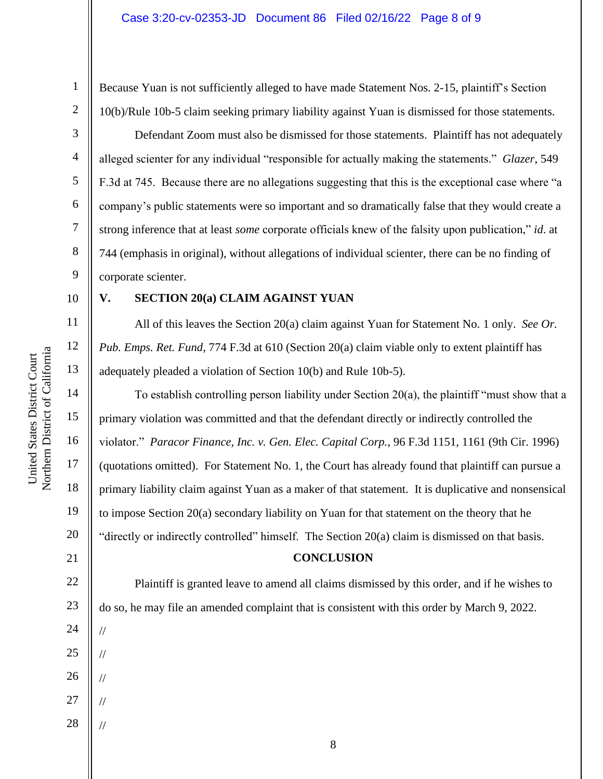Because Yuan is not sufficiently alleged to have made Statement Nos. 2-15, plaintiff's Section 10(b)/Rule 10b-5 claim seeking primary liability against Yuan is dismissed for those statements.

Defendant Zoom must also be dismissed for those statements. Plaintiff has not adequately alleged scienter for any individual "responsible for actually making the statements." *Glazer*, 549 F.3d at 745. Because there are no allegations suggesting that this is the exceptional case where "a company's public statements were so important and so dramatically false that they would create a strong inference that at least *some* corporate officials knew of the falsity upon publication," *id*. at 744 (emphasis in original), without allegations of individual scienter, there can be no finding of corporate scienter.

#### 10

11

12

13

14

15

16

17

18

19

20

21

22

23

24

//

//

//

//

//

25

26

27

28

1

2

3

4

5

6

7

8

9

# **V. SECTION 20(a) CLAIM AGAINST YUAN**

All of this leaves the Section 20(a) claim against Yuan for Statement No. 1 only. *See Or. Pub. Emps. Ret. Fund*, 774 F.3d at 610 (Section 20(a) claim viable only to extent plaintiff has adequately pleaded a violation of Section 10(b) and Rule 10b-5).

To establish controlling person liability under Section 20(a), the plaintiff "must show that a primary violation was committed and that the defendant directly or indirectly controlled the violator." *Paracor Finance, Inc. v. Gen. Elec. Capital Corp.*, 96 F.3d 1151, 1161 (9th Cir. 1996) (quotations omitted). For Statement No. 1, the Court has already found that plaintiff can pursue a primary liability claim against Yuan as a maker of that statement. It is duplicative and nonsensical to impose Section 20(a) secondary liability on Yuan for that statement on the theory that he "directly or indirectly controlled" himself. The Section 20(a) claim is dismissed on that basis.

# **CONCLUSION**

Plaintiff is granted leave to amend all claims dismissed by this order, and if he wishes to do so, he may file an amended complaint that is consistent with this order by March 9, 2022.

Northern District of California Northern District of California United States District Court United States District Court